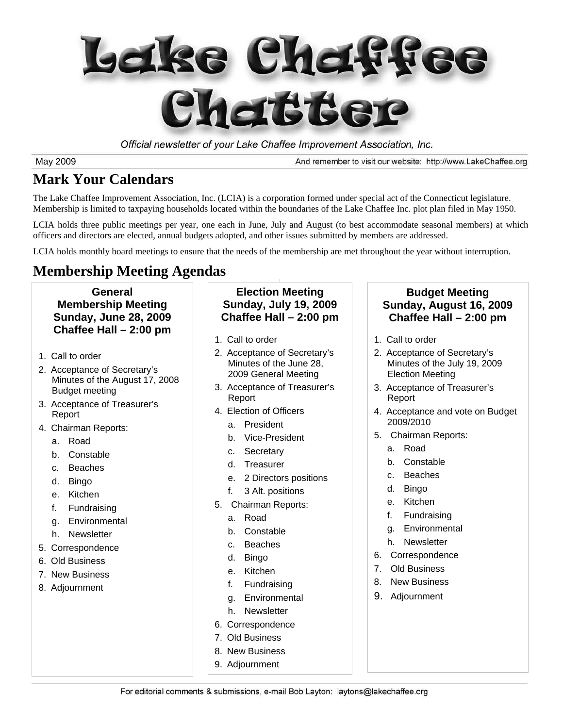

Official newsletter of your Lake Chaffee Improvement Association, Inc.

May 2009

And remember to visit our website: http://www.LakeChaffee.org

## **Mark Your Calendars**

The Lake Chaffee Improvement Association, Inc. (LCIA) is a corporation formed under special act of the Connecticut legislature. Membership is limited to taxpaying households located within the boundaries of the Lake Chaffee Inc. plot plan filed in May 1950.

LCIA holds three public meetings per year, one each in June, July and August (to best accommodate seasonal members) at which officers and directors are elected, annual budgets adopted, and other issues submitted by members are addressed.

LCIA holds monthly board meetings to ensure that the needs of the membership are met throughout the year without interruption.

## **Membership Meeting Agendas**

#### **General Membership Meeting Sunday, June 28, 2009 Chaffee Hall – 2:00 pm**

- 1. Call to order
- 2. Acceptance of Secretary's Minutes of the August 17, 2008 Budget meeting
- 3. Acceptance of Treasurer's Report
- 4. Chairman Reports:
	- a. Road
	- b. Constable
	- c. Beaches
	- d. Bingo
	- e. Kitchen
	- f. Fundraising
	- g. Environmental
	- h. Newsletter
- 5. Correspondence
- 6. Old Business
- 7. New Business
- 8. Adjournment

#### **Election Meeting Sunday, July 19, 2009 Chaffee Hall – 2:00 pm**

- 1. Call to order
- 2. Acceptance of Secretary's Minutes of the June 28, 2009 General Meeting
- 3. Acceptance of Treasurer's Report
- 4. Election of Officers
	- a. President
	- b. Vice-President
	- c. Secretary
	- d. Treasurer
	- e. 2 Directors positions
	- f. 3 Alt. positions
- 5. Chairman Reports:
	- a. Road
	- b. Constable
	- c. Beaches
	- d. Bingo
	- e. Kitchen
	- f. Fundraising
	- g. Environmental
	- h. Newsletter
- 6. Correspondence
- 7. Old Business
- 8. New Business
- 9. Adjournment

#### **Budget Meeting Sunday, August 16, 2009 Chaffee Hall – 2:00 pm**

- 1. Call to order
- 2. Acceptance of Secretary's Minutes of the July 19, 2009 Election Meeting
- 3. Acceptance of Treasurer's Report
- 4. Acceptance and vote on Budget 2009/2010
- 5. Chairman Reports:
	- a. Road
	- b. Constable
	- c. Beaches
	- d. Bingo
	- e. Kitchen
	- f. Fundraising
	- g. Environmental
	- h. Newsletter
- 6. Correspondence
- 7. Old Business
- 8. New Business
- 9. Adjournment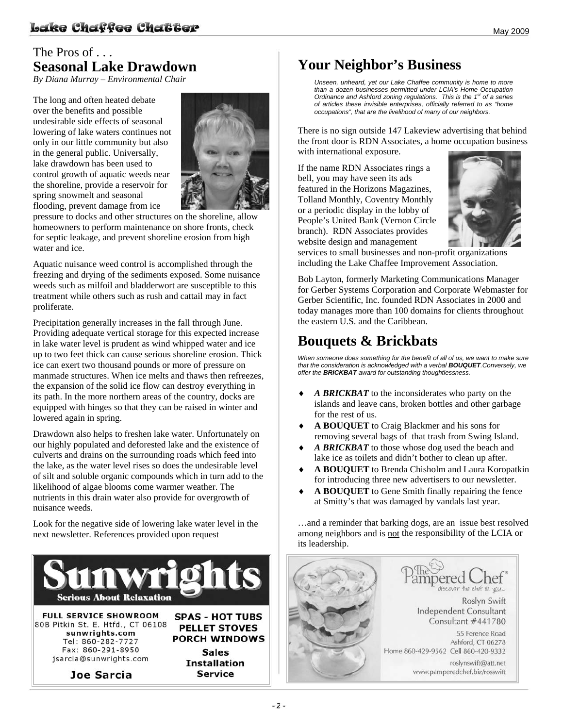### The Pros of . . . **Seasonal Lake Drawdown**

*By Diana Murray – Environmental Chair* 

The long and often heated debate over the benefits and possible undesirable side effects of seasonal lowering of lake waters continues not only in our little community but also in the general public. Universally, lake drawdown has been used to control growth of aquatic weeds near the shoreline, provide a reservoir for spring snowmelt and seasonal flooding, prevent damage from ice



pressure to docks and other structures on the shoreline, allow homeowners to perform maintenance on shore fronts, check for septic leakage, and prevent shoreline erosion from high water and ice.

Aquatic nuisance weed control is accomplished through the freezing and drying of the sediments exposed. Some nuisance weeds such as milfoil and bladderwort are susceptible to this treatment while others such as rush and cattail may in fact proliferate.

Precipitation generally increases in the fall through June. Providing adequate vertical storage for this expected increase in lake water level is prudent as wind whipped water and ice up to two feet thick can cause serious shoreline erosion. Thick ice can exert two thousand pounds or more of pressure on manmade structures. When ice melts and thaws then refreezes, the expansion of the solid ice flow can destroy everything in its path. In the more northern areas of the country, docks are equipped with hinges so that they can be raised in winter and lowered again in spring.

Drawdown also helps to freshen lake water. Unfortunately on our highly populated and deforested lake and the existence of culverts and drains on the surrounding roads which feed into the lake, as the water level rises so does the undesirable level of silt and soluble organic compounds which in turn add to the likelihood of algae blooms come warmer weather. The nutrients in this drain water also provide for overgrowth of nuisance weeds.

Look for the negative side of lowering lake water level in the next newsletter. References provided upon request



## **Your Neighbor's Business**

*Unseen, unheard, yet our Lake Chaffee community is home to more than a dozen businesses permitted under LCIA's Home Occupation Ordinance and Ashford zoning regulations. This is the 1st of a series of articles these invisible enterprises, officially referred to as "home occupations", that are the livelihood of many of our neighbors.*

There is no sign outside 147 Lakeview advertising that behind the front door is RDN Associates, a home occupation business with international exposure.

If the name RDN Associates rings a bell, you may have seen its ads featured in the Horizons Magazines, Tolland Monthly, Coventry Monthly or a periodic display in the lobby of People's United Bank (Vernon Circle branch). RDN Associates provides website design and management



services to small businesses and non-profit organizations including the Lake Chaffee Improvement Association.

Bob Layton, formerly Marketing Communications Manager for Gerber Systems Corporation and Corporate Webmaster for Gerber Scientific, Inc. founded RDN Associates in 2000 and today manages more than 100 domains for clients throughout the eastern U.S. and the Caribbean.

## **Bouquets & Brickbats**

*When someone does something for the benefit of all of us, we want to make sure that the consideration is acknowledged with a verbal BOUQUET.Conversely, we offer the BRICKBAT award for outstanding thoughtlessness.* 

- A BRICKBAT to the inconsiderates who party on the islands and leave cans, broken bottles and other garbage for the rest of us.
- ♦ **A BOUQUET** to Craig Blackmer and his sons for removing several bags of that trash from Swing Island.
- A BRICKBAT to those whose dog used the beach and lake ice as toilets and didn't bother to clean up after.
- ♦ **A BOUQUET** to Brenda Chisholm and Laura Koropatkin for introducing three new advertisers to our newsletter.
- A BOUQUET to Gene Smith finally repairing the fence at Smitty's that was damaged by vandals last year.

…and a reminder that barking dogs, are an issue best resolved among neighbors and is not the responsibility of the LCIA or its leadership.

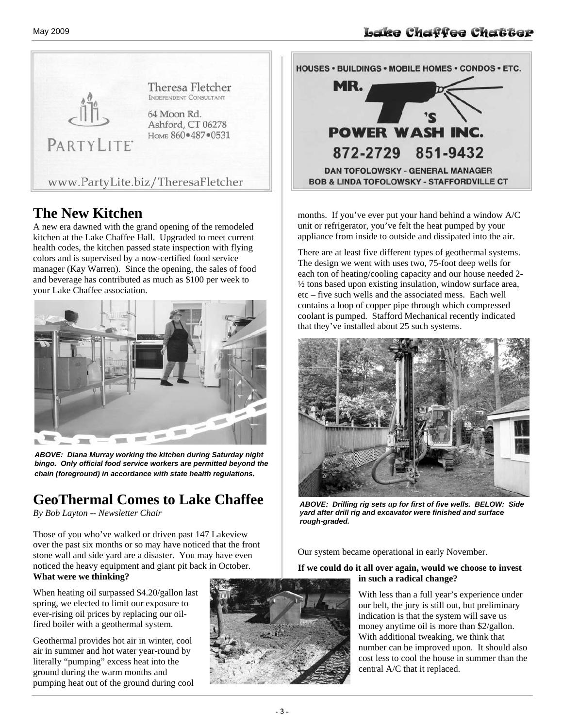

#### **The New Kitchen**

A new era dawned with the grand opening of the remodeled kitchen at the Lake Chaffee Hall. Upgraded to meet current health codes, the kitchen passed state inspection with flying colors and is supervised by a now-certified food service manager (Kay Warren). Since the opening, the sales of food and beverage has contributed as much as \$100 per week to your Lake Chaffee association.



*ABOVE: Diana Murray working the kitchen during Saturday night bingo. Only official food service workers are permitted beyond the chain (foreground) in accordance with state health regulations.* 

## **GeoThermal Comes to Lake Chaffee**

*By Bob Layton -- Newsletter Chair* 

Those of you who've walked or driven past 147 Lakeview over the past six months or so may have noticed that the front stone wall and side yard are a disaster. You may have even noticed the heavy equipment and giant pit back in October. **What were we thinking?**

When heating oil surpassed \$4.20/gallon last spring, we elected to limit our exposure to ever-rising oil prices by replacing our oilfired boiler with a geothermal system.

Geothermal provides hot air in winter, cool air in summer and hot water year-round by literally "pumping" excess heat into the ground during the warm months and pumping heat out of the ground during cool





months. If you've ever put your hand behind a window A/C unit or refrigerator, you've felt the heat pumped by your appliance from inside to outside and dissipated into the air.

There are at least five different types of geothermal systems. The design we went with uses two, 75-foot deep wells for each ton of heating/cooling capacity and our house needed 2- ½ tons based upon existing insulation, window surface area, etc – five such wells and the associated mess. Each well contains a loop of copper pipe through which compressed coolant is pumped. Stafford Mechanical recently indicated that they've installed about 25 such systems.



*ABOVE: Drilling rig sets up for first of five wells. BELOW: Side yard after drill rig and excavator were finished and surface rough-graded.* 

Our system became operational in early November.

#### **If we could do it all over again, would we choose to invest in such a radical change?**

With less than a full year's experience under our belt, the jury is still out, but preliminary indication is that the system will save us money anytime oil is more than \$2/gallon. With additional tweaking, we think that number can be improved upon. It should also cost less to cool the house in summer than the central A/C that it replaced.